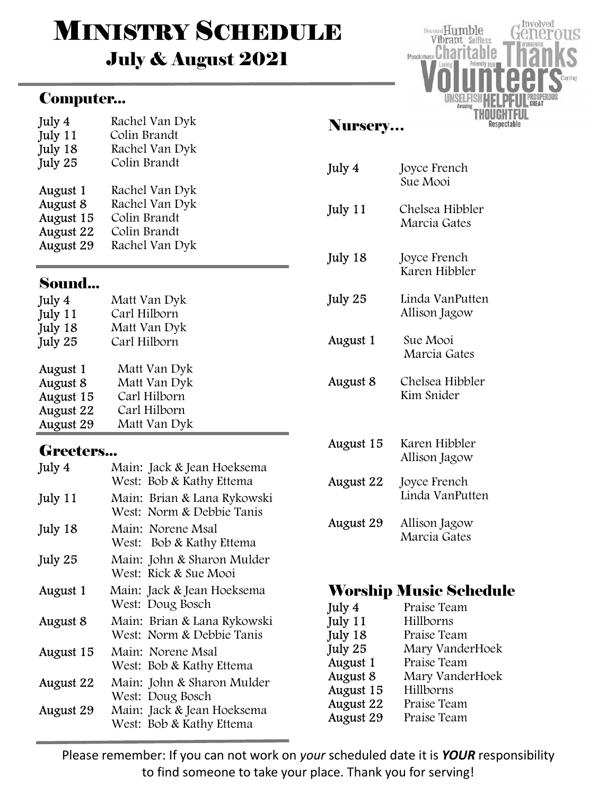# **MINISTRY SCHEDULE** July & August 2021

## Computer...

| July 4    | Rachel Van Dyk |
|-----------|----------------|
| July 11   | Colin Brandt   |
| July 18   | Rachel Van Dyk |
| July 25   | Colin Brandt   |
| August 1  | Rachel Van Dyk |
| August 8  | Rachel Van Dyk |
| August 15 | Colin Brandt   |
| August 22 | Colin Brandt   |
| August 29 | Rachel Van Dyk |

## Sound...

| July 4    | Matt Van Dyk |
|-----------|--------------|
| July 11   | Carl Hilborn |
| July 18   | Matt Van Dyk |
| July 25   | Carl Hilborn |
| August 1  | Matt Van Dyk |
| August 8  | Matt Van Dyk |
| August 15 | Carl Hilborn |
| August 22 | Carl Hilborn |
| August 29 | Matt Van Dyk |

## Greeters...

| July 4    | Main: Jack & Jean Hoeksema<br>West: Bob & Kathy Ettema   |
|-----------|----------------------------------------------------------|
| July 11   | Main: Brian & Lana Rykowski<br>West: Norm & Debbie Tanis |
| July 18   | Main: Norene Msal<br>West: Bob & Kathy Ettema            |
| July 25   | Main: John & Sharon Mulder<br>West: Rick & Sue Mooi      |
| August 1  | Main: Jack & Jean Hoeksema<br>West: Doug Bosch           |
| August 8  | Main: Brian & Lana Rykowski<br>West: Norm & Debbie Tanis |
| August 15 | Main: Norene Msal<br>West: Bob & Kathy Ettema            |
| August 22 | Main: John & Sharon Mulder<br>West: Doug Bosch           |
| August 29 | Main: Jack & Jean Hoeksema<br>West: Bob & Kathy Ettema   |

## Nursery…

Involved

Respectable

US

Devoted Humble

Vibrant Selfless Passionate Charitable

| July 4           | Joyce French<br>Sue Mooi         |
|------------------|----------------------------------|
| July 11          | Chelsea Hibbler<br>Marcia Gates  |
| July 18          | Joyce French<br>Karen Hibbler    |
| July 25          | Linda VanPutten<br>Allison Jagow |
| August 1         | Sue Mooi<br>Marcia Gates         |
| August 8         | Chelsea Hibbler<br>Kim Snider    |
| August 15        | Karen Hibbler<br>Allison Jagow   |
| August 22        | Joyce French<br>Linda VanPutten  |
| <b>August 29</b> | Allison Jagow<br>Marcia Gates    |

## Worship Music Schedule

| Praise Team     |
|-----------------|
| Hillborns       |
| Praise Team     |
| Mary VanderHoek |
| Praise Team     |
| Mary VanderHoek |
| Hillborns       |
| Praise Team     |
| Praise Team     |
|                 |

Please remember: If you can not work on your scheduled date it is YOUR responsibility to find someone to take your place. Thank you for serving!